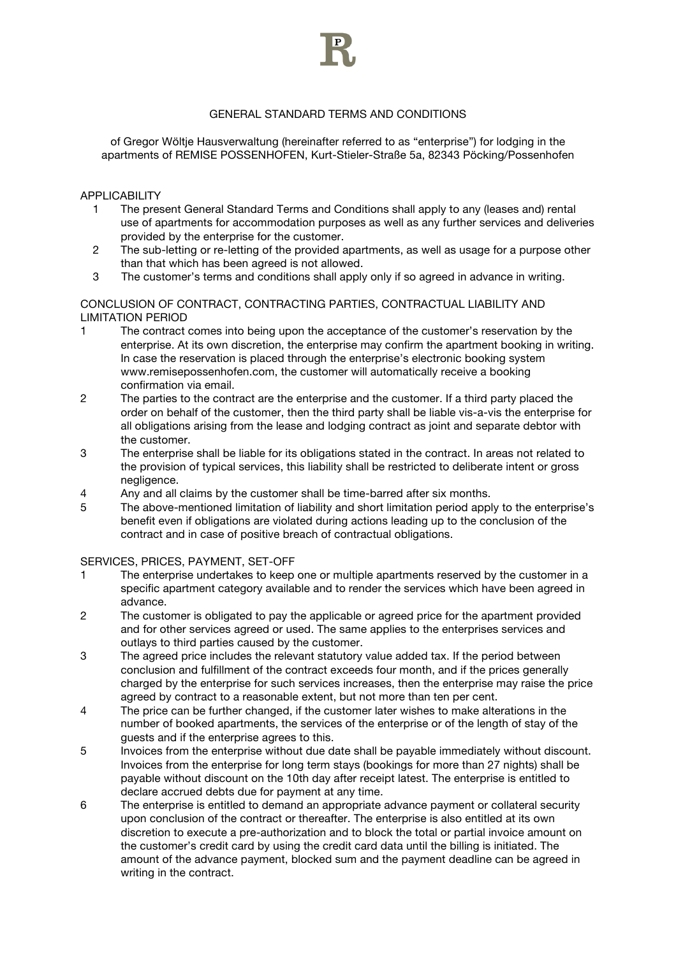

# GENERAL STANDARD TERMS AND CONDITIONS

of Gregor Wöltje Hausverwaltung (hereinafter referred to as "enterprise") for lodging in the apartments of REMISE POSSENHOFEN, Kurt-Stieler-Straße 5a, 82343 Pöcking/Possenhofen

APPLICABILITY

- 1 The present General Standard Terms and Conditions shall apply to any (leases and) rental use of apartments for accommodation purposes as well as any further services and deliveries provided by the enterprise for the customer.
- 2 The sub-letting or re-letting of the provided apartments, as well as usage for a purpose other than that which has been agreed is not allowed.
- 3 The customer's terms and conditions shall apply only if so agreed in advance in writing.

CONCLUSION OF CONTRACT, CONTRACTING PARTIES, CONTRACTUAL LIABILITY AND LIMITATION PERIOD

- 1 The contract comes into being upon the acceptance of the customer's reservation by the enterprise. At its own discretion, the enterprise may confirm the apartment booking in writing. In case the reservation is placed through the enterprise's electronic booking system www.remisepossenhofen.com, the customer will automatically receive a booking confirmation via email.
- 2 The parties to the contract are the enterprise and the customer. If a third party placed the order on behalf of the customer, then the third party shall be liable vis-a-vis the enterprise for all obligations arising from the lease and lodging contract as joint and separate debtor with the customer.
- 3 The enterprise shall be liable for its obligations stated in the contract. In areas not related to the provision of typical services, this liability shall be restricted to deliberate intent or gross negligence.
- 4 Any and all claims by the customer shall be time-barred after six months.
- 5 The above-mentioned limitation of liability and short limitation period apply to the enterprise's benefit even if obligations are violated during actions leading up to the conclusion of the contract and in case of positive breach of contractual obligations.

SERVICES, PRICES, PAYMENT, SET-OFF

- 1 The enterprise undertakes to keep one or multiple apartments reserved by the customer in a specific apartment category available and to render the services which have been agreed in advance.
- 2 The customer is obligated to pay the applicable or agreed price for the apartment provided and for other services agreed or used. The same applies to the enterprises services and outlays to third parties caused by the customer.
- 3 The agreed price includes the relevant statutory value added tax. If the period between conclusion and fulfillment of the contract exceeds four month, and if the prices generally charged by the enterprise for such services increases, then the enterprise may raise the price agreed by contract to a reasonable extent, but not more than ten per cent.
- 4 The price can be further changed, if the customer later wishes to make alterations in the number of booked apartments, the services of the enterprise or of the length of stay of the guests and if the enterprise agrees to this.
- 5 Invoices from the enterprise without due date shall be payable immediately without discount. Invoices from the enterprise for long term stays (bookings for more than 27 nights) shall be payable without discount on the 10th day after receipt latest. The enterprise is entitled to declare accrued debts due for payment at any time.
- 6 The enterprise is entitled to demand an appropriate advance payment or collateral security upon conclusion of the contract or thereafter. The enterprise is also entitled at its own discretion to execute a pre-authorization and to block the total or partial invoice amount on the customer's credit card by using the credit card data until the billing is initiated. The amount of the advance payment, blocked sum and the payment deadline can be agreed in writing in the contract.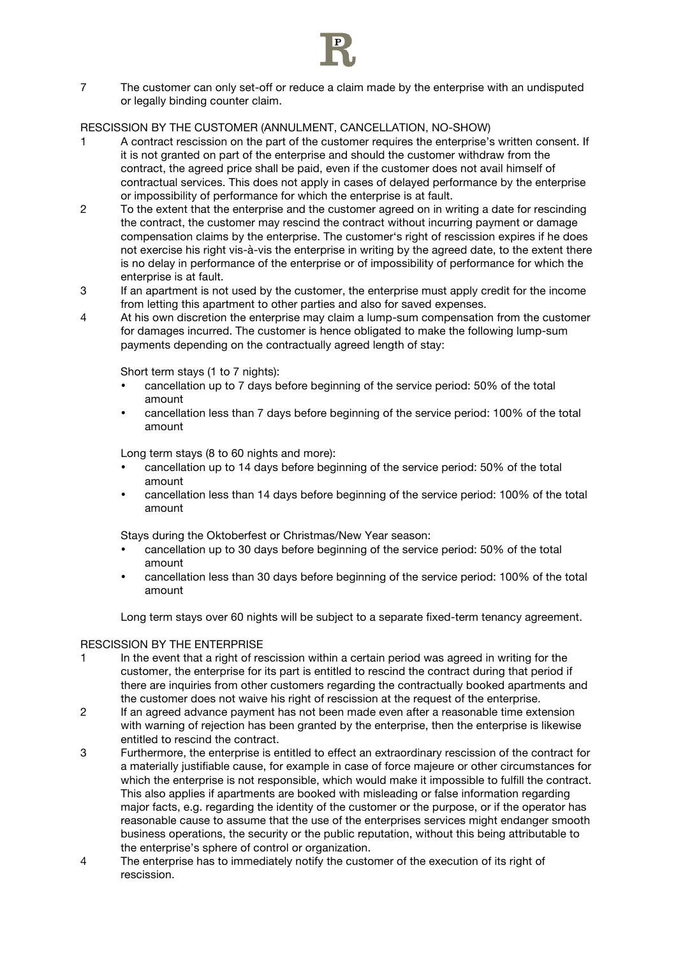

7 The customer can only set-off or reduce a claim made by the enterprise with an undisputed or legally binding counter claim.

## RESCISSION BY THE CUSTOMER (ANNULMENT, CANCELLATION, NO-SHOW)

- 1 A contract rescission on the part of the customer requires the enterprise's written consent. If it is not granted on part of the enterprise and should the customer withdraw from the contract, the agreed price shall be paid, even if the customer does not avail himself of contractual services. This does not apply in cases of delayed performance by the enterprise or impossibility of performance for which the enterprise is at fault.
- 2 To the extent that the enterprise and the customer agreed on in writing a date for rescinding the contract, the customer may rescind the contract without incurring payment or damage compensation claims by the enterprise. The customer's right of rescission expires if he does not exercise his right vis-à-vis the enterprise in writing by the agreed date, to the extent there is no delay in performance of the enterprise or of impossibility of performance for which the enterprise is at fault.
- 3 If an apartment is not used by the customer, the enterprise must apply credit for the income from letting this apartment to other parties and also for saved expenses.
- 4 At his own discretion the enterprise may claim a lump-sum compensation from the customer for damages incurred. The customer is hence obligated to make the following lump-sum payments depending on the contractually agreed length of stay:

Short term stays (1 to 7 nights):

- cancellation up to 7 days before beginning of the service period: 50% of the total amount
- cancellation less than 7 days before beginning of the service period: 100% of the total amount

Long term stays (8 to 60 nights and more):

- cancellation up to 14 days before beginning of the service period: 50% of the total amount
- cancellation less than 14 days before beginning of the service period: 100% of the total amount

Stays during the Oktoberfest or Christmas/New Year season:

- cancellation up to 30 days before beginning of the service period: 50% of the total amount
- cancellation less than 30 days before beginning of the service period: 100% of the total amount

Long term stays over 60 nights will be subject to a separate fixed-term tenancy agreement.

#### RESCISSION BY THE ENTERPRISE

- 1 In the event that a right of rescission within a certain period was agreed in writing for the customer, the enterprise for its part is entitled to rescind the contract during that period if there are inquiries from other customers regarding the contractually booked apartments and the customer does not waive his right of rescission at the request of the enterprise.
- 2 If an agreed advance payment has not been made even after a reasonable time extension with warning of rejection has been granted by the enterprise, then the enterprise is likewise entitled to rescind the contract.
- 3 Furthermore, the enterprise is entitled to effect an extraordinary rescission of the contract for a materially justifiable cause, for example in case of force majeure or other circumstances for which the enterprise is not responsible, which would make it impossible to fulfill the contract. This also applies if apartments are booked with misleading or false information regarding major facts, e.g. regarding the identity of the customer or the purpose, or if the operator has reasonable cause to assume that the use of the enterprises services might endanger smooth business operations, the security or the public reputation, without this being attributable to the enterprise's sphere of control or organization.
- 4 The enterprise has to immediately notify the customer of the execution of its right of rescission.